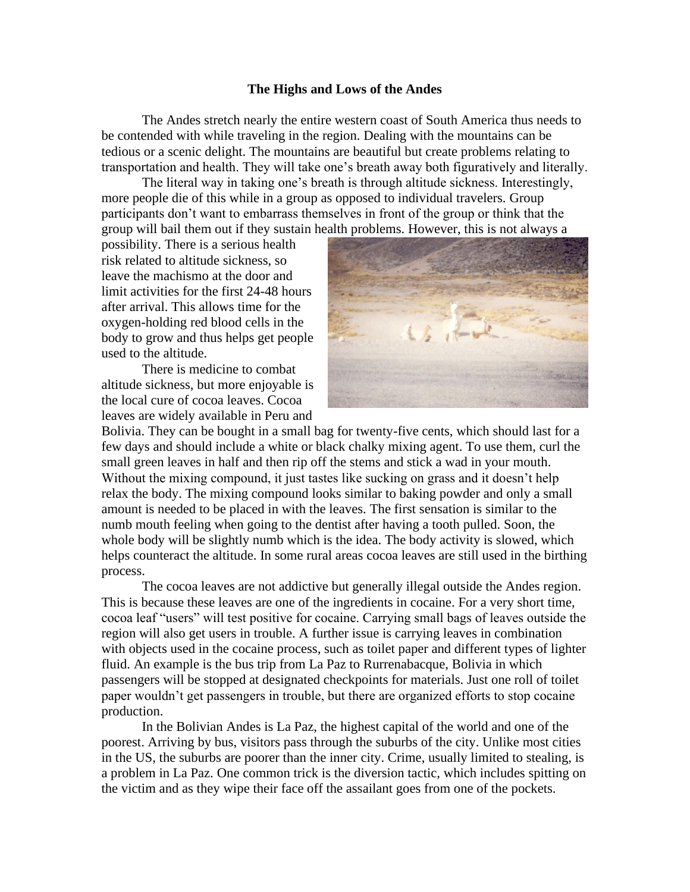## **The Highs and Lows of the Andes**

The Andes stretch nearly the entire western coast of South America thus needs to be contended with while traveling in the region. Dealing with the mountains can be tedious or a scenic delight. The mountains are beautiful but create problems relating to transportation and health. They will take one's breath away both figuratively and literally.

The literal way in taking one's breath is through altitude sickness. Interestingly, more people die of this while in a group as opposed to individual travelers. Group participants don't want to embarrass themselves in front of the group or think that the group will bail them out if they sustain health problems. However, this is not always a

possibility. There is a serious health risk related to altitude sickness, so leave the machismo at the door and limit activities for the first 24-48 hours after arrival. This allows time for the oxygen-holding red blood cells in the body to grow and thus helps get people used to the altitude.

There is medicine to combat altitude sickness, but more enjoyable is the local cure of cocoa leaves. Cocoa leaves are widely available in Peru and



Bolivia. They can be bought in a small bag for twenty-five cents, which should last for a few days and should include a white or black chalky mixing agent. To use them, curl the small green leaves in half and then rip off the stems and stick a wad in your mouth. Without the mixing compound, it just tastes like sucking on grass and it doesn't help relax the body. The mixing compound looks similar to baking powder and only a small amount is needed to be placed in with the leaves. The first sensation is similar to the numb mouth feeling when going to the dentist after having a tooth pulled. Soon, the whole body will be slightly numb which is the idea. The body activity is slowed, which helps counteract the altitude. In some rural areas cocoa leaves are still used in the birthing process.

The cocoa leaves are not addictive but generally illegal outside the Andes region. This is because these leaves are one of the ingredients in cocaine. For a very short time, cocoa leaf "users" will test positive for cocaine. Carrying small bags of leaves outside the region will also get users in trouble. A further issue is carrying leaves in combination with objects used in the cocaine process, such as toilet paper and different types of lighter fluid. An example is the bus trip from La Paz to Rurrenabacque, Bolivia in which passengers will be stopped at designated checkpoints for materials. Just one roll of toilet paper wouldn't get passengers in trouble, but there are organized efforts to stop cocaine production.

In the Bolivian Andes is La Paz, the highest capital of the world and one of the poorest. Arriving by bus, visitors pass through the suburbs of the city. Unlike most cities in the US, the suburbs are poorer than the inner city. Crime, usually limited to stealing, is a problem in La Paz. One common trick is the diversion tactic, which includes spitting on the victim and as they wipe their face off the assailant goes from one of the pockets.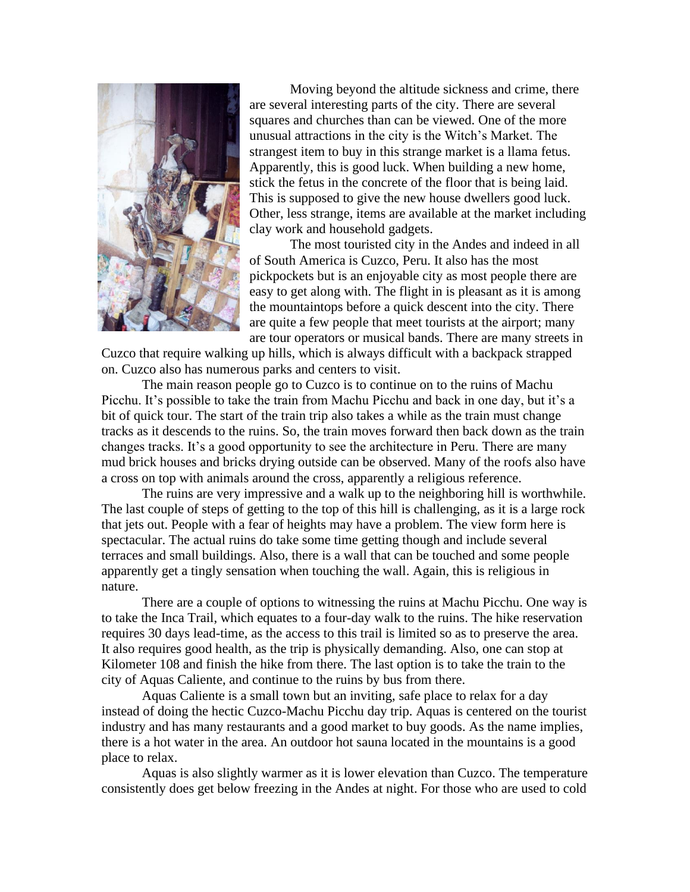

Moving beyond the altitude sickness and crime, there are several interesting parts of the city. There are several squares and churches than can be viewed. One of the more unusual attractions in the city is the Witch's Market. The strangest item to buy in this strange market is a llama fetus. Apparently, this is good luck. When building a new home, stick the fetus in the concrete of the floor that is being laid. This is supposed to give the new house dwellers good luck. Other, less strange, items are available at the market including clay work and household gadgets.

The most touristed city in the Andes and indeed in all of South America is Cuzco, Peru. It also has the most pickpockets but is an enjoyable city as most people there are easy to get along with. The flight in is pleasant as it is among the mountaintops before a quick descent into the city. There are quite a few people that meet tourists at the airport; many are tour operators or musical bands. There are many streets in

Cuzco that require walking up hills, which is always difficult with a backpack strapped on. Cuzco also has numerous parks and centers to visit.

The main reason people go to Cuzco is to continue on to the ruins of Machu Picchu. It's possible to take the train from Machu Picchu and back in one day, but it's a bit of quick tour. The start of the train trip also takes a while as the train must change tracks as it descends to the ruins. So, the train moves forward then back down as the train changes tracks. It's a good opportunity to see the architecture in Peru. There are many mud brick houses and bricks drying outside can be observed. Many of the roofs also have a cross on top with animals around the cross, apparently a religious reference.

The ruins are very impressive and a walk up to the neighboring hill is worthwhile. The last couple of steps of getting to the top of this hill is challenging, as it is a large rock that jets out. People with a fear of heights may have a problem. The view form here is spectacular. The actual ruins do take some time getting though and include several terraces and small buildings. Also, there is a wall that can be touched and some people apparently get a tingly sensation when touching the wall. Again, this is religious in nature.

There are a couple of options to witnessing the ruins at Machu Picchu. One way is to take the Inca Trail, which equates to a four-day walk to the ruins. The hike reservation requires 30 days lead-time, as the access to this trail is limited so as to preserve the area. It also requires good health, as the trip is physically demanding. Also, one can stop at Kilometer 108 and finish the hike from there. The last option is to take the train to the city of Aquas Caliente, and continue to the ruins by bus from there.

Aquas Caliente is a small town but an inviting, safe place to relax for a day instead of doing the hectic Cuzco-Machu Picchu day trip. Aquas is centered on the tourist industry and has many restaurants and a good market to buy goods. As the name implies, there is a hot water in the area. An outdoor hot sauna located in the mountains is a good place to relax.

Aquas is also slightly warmer as it is lower elevation than Cuzco. The temperature consistently does get below freezing in the Andes at night. For those who are used to cold